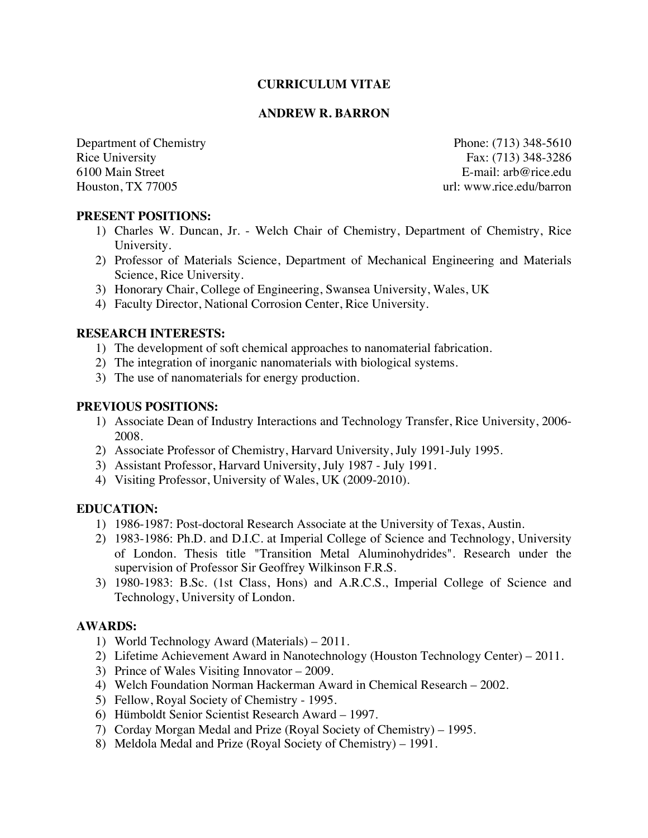### **CURRICULUM VITAE**

### **ANDREW R. BARRON**

Department of Chemistry Phone: (713) 348-5610 Rice University Fax: (713) 348-3286 6100 Main Street E-mail: arb@rice.edu Houston, TX 77005 url: www.rice.edu/barron

### **PRESENT POSITIONS:**

- 1) Charles W. Duncan, Jr. Welch Chair of Chemistry, Department of Chemistry, Rice University.
- 2) Professor of Materials Science, Department of Mechanical Engineering and Materials Science, Rice University.
- 3) Honorary Chair, College of Engineering, Swansea University, Wales, UK
- 4) Faculty Director, National Corrosion Center, Rice University.

### **RESEARCH INTERESTS:**

- 1) The development of soft chemical approaches to nanomaterial fabrication.
- 2) The integration of inorganic nanomaterials with biological systems.
- 3) The use of nanomaterials for energy production.

### **PREVIOUS POSITIONS:**

- 1) Associate Dean of Industry Interactions and Technology Transfer, Rice University, 2006- 2008.
- 2) Associate Professor of Chemistry, Harvard University, July 1991-July 1995.
- 3) Assistant Professor, Harvard University, July 1987 July 1991.
- 4) Visiting Professor, University of Wales, UK (2009-2010).

# **EDUCATION:**

- 1) 1986-1987: Post-doctoral Research Associate at the University of Texas, Austin.
- 2) 1983-1986: Ph.D. and D.I.C. at Imperial College of Science and Technology, University of London. Thesis title "Transition Metal Aluminohydrides". Research under the supervision of Professor Sir Geoffrey Wilkinson F.R.S.
- 3) 1980-1983: B.Sc. (1st Class, Hons) and A.R.C.S., Imperial College of Science and Technology, University of London.

# **AWARDS:**

- 1) World Technology Award (Materials) 2011.
- 2) Lifetime Achievement Award in Nanotechnology (Houston Technology Center) 2011.
- 3) Prince of Wales Visiting Innovator 2009.
- 4) Welch Foundation Norman Hackerman Award in Chemical Research 2002.
- 5) Fellow, Royal Society of Chemistry 1995.
- 6) Hümboldt Senior Scientist Research Award 1997.
- 7) Corday Morgan Medal and Prize (Royal Society of Chemistry) 1995.
- 8) Meldola Medal and Prize (Royal Society of Chemistry) 1991.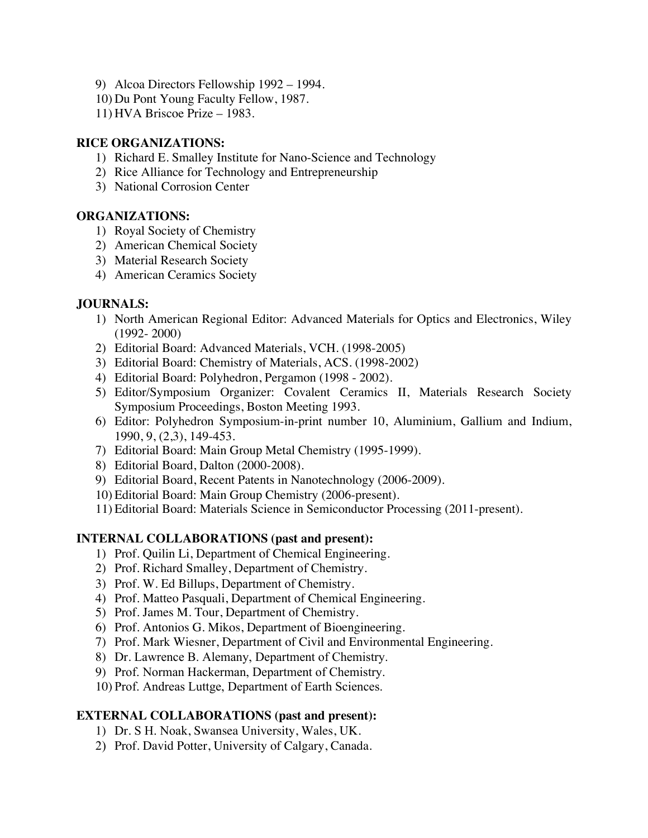- 9) Alcoa Directors Fellowship 1992 1994.
- 10) Du Pont Young Faculty Fellow, 1987.
- 11) HVA Briscoe Prize 1983.

### **RICE ORGANIZATIONS:**

- 1) Richard E. Smalley Institute for Nano-Science and Technology
- 2) Rice Alliance for Technology and Entrepreneurship
- 3) National Corrosion Center

### **ORGANIZATIONS:**

- 1) Royal Society of Chemistry
- 2) American Chemical Society
- 3) Material Research Society
- 4) American Ceramics Society

# **JOURNALS:**

- 1) North American Regional Editor: Advanced Materials for Optics and Electronics, Wiley (1992- 2000)
- 2) Editorial Board: Advanced Materials, VCH. (1998-2005)
- 3) Editorial Board: Chemistry of Materials, ACS. (1998-2002)
- 4) Editorial Board: Polyhedron, Pergamon (1998 2002).
- 5) Editor/Symposium Organizer: Covalent Ceramics II, Materials Research Society Symposium Proceedings, Boston Meeting 1993.
- 6) Editor: Polyhedron Symposium-in-print number 10, Aluminium, Gallium and Indium, 1990, 9, (2,3), 149-453.
- 7) Editorial Board: Main Group Metal Chemistry (1995-1999).
- 8) Editorial Board, Dalton (2000-2008).
- 9) Editorial Board, Recent Patents in Nanotechnology (2006-2009).
- 10) Editorial Board: Main Group Chemistry (2006-present).
- 11) Editorial Board: Materials Science in Semiconductor Processing (2011-present).

# **INTERNAL COLLABORATIONS (past and present):**

- 1) Prof. Quilin Li, Department of Chemical Engineering.
- 2) Prof. Richard Smalley, Department of Chemistry.
- 3) Prof. W. Ed Billups, Department of Chemistry.
- 4) Prof. Matteo Pasquali, Department of Chemical Engineering.
- 5) Prof. James M. Tour, Department of Chemistry.
- 6) Prof. Antonios G. Mikos, Department of Bioengineering.
- 7) Prof. Mark Wiesner, Department of Civil and Environmental Engineering.
- 8) Dr. Lawrence B. Alemany, Department of Chemistry.
- 9) Prof. Norman Hackerman, Department of Chemistry.
- 10) Prof. Andreas Luttge, Department of Earth Sciences.

# **EXTERNAL COLLABORATIONS (past and present):**

- 1) Dr. S H. Noak, Swansea University, Wales, UK.
- 2) Prof. David Potter, University of Calgary, Canada.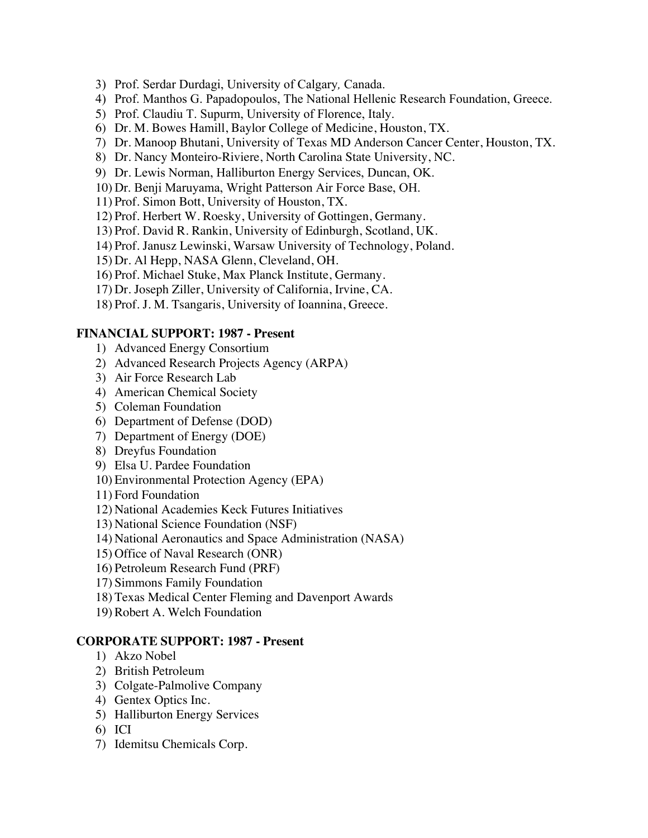- 3) Prof. Serdar Durdagi, University of Calgary*,* Canada.
- 4) Prof. Manthos G. Papadopoulos, The National Hellenic Research Foundation, Greece.
- 5) Prof. Claudiu T. Supurm, University of Florence, Italy.
- 6) Dr. M. Bowes Hamill, Baylor College of Medicine, Houston, TX.
- 7) Dr. Manoop Bhutani, University of Texas MD Anderson Cancer Center, Houston, TX.
- 8) Dr. Nancy Monteiro-Riviere, North Carolina State University, NC.
- 9) Dr. Lewis Norman, Halliburton Energy Services, Duncan, OK.
- 10) Dr. Benji Maruyama, Wright Patterson Air Force Base, OH.
- 11) Prof. Simon Bott, University of Houston, TX.
- 12) Prof. Herbert W. Roesky, University of Gottingen, Germany.
- 13) Prof. David R. Rankin, University of Edinburgh, Scotland, UK.
- 14) Prof. Janusz Lewinski, Warsaw University of Technology, Poland.
- 15) Dr. Al Hepp, NASA Glenn, Cleveland, OH.
- 16) Prof. Michael Stuke, Max Planck Institute, Germany.
- 17) Dr. Joseph Ziller, University of California, Irvine, CA.
- 18) Prof. J. M. Tsangaris, University of Ioannina, Greece.

# **FINANCIAL SUPPORT: 1987 - Present**

- 1) Advanced Energy Consortium
- 2) Advanced Research Projects Agency (ARPA)
- 3) Air Force Research Lab
- 4) American Chemical Society
- 5) Coleman Foundation
- 6) Department of Defense (DOD)
- 7) Department of Energy (DOE)
- 8) Dreyfus Foundation
- 9) Elsa U. Pardee Foundation
- 10) Environmental Protection Agency (EPA)
- 11) Ford Foundation
- 12) National Academies Keck Futures Initiatives
- 13) National Science Foundation (NSF)
- 14) National Aeronautics and Space Administration (NASA)
- 15) Office of Naval Research (ONR)
- 16) Petroleum Research Fund (PRF)
- 17) Simmons Family Foundation
- 18) Texas Medical Center Fleming and Davenport Awards
- 19) Robert A. Welch Foundation

# **CORPORATE SUPPORT: 1987 - Present**

- 1) Akzo Nobel
- 2) British Petroleum
- 3) Colgate-Palmolive Company
- 4) Gentex Optics Inc.
- 5) Halliburton Energy Services
- 6) ICI
- 7) Idemitsu Chemicals Corp.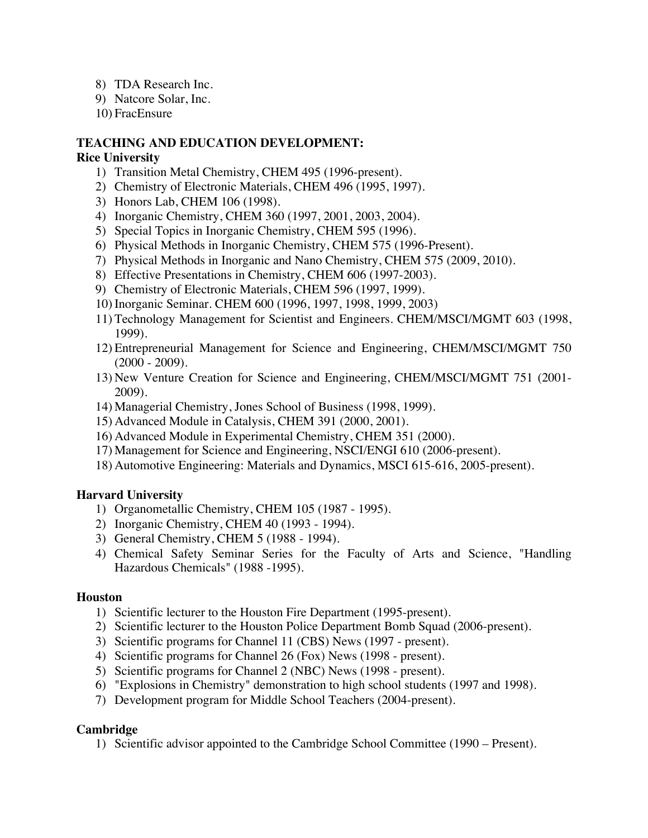- 8) TDA Research Inc.
- 9) Natcore Solar, Inc.
- 10) FracEnsure

### **TEACHING AND EDUCATION DEVELOPMENT:**

### **Rice University**

- 1) Transition Metal Chemistry, CHEM 495 (1996-present).
- 2) Chemistry of Electronic Materials, CHEM 496 (1995, 1997).
- 3) Honors Lab, CHEM 106 (1998).
- 4) Inorganic Chemistry, CHEM 360 (1997, 2001, 2003, 2004).
- 5) Special Topics in Inorganic Chemistry, CHEM 595 (1996).
- 6) Physical Methods in Inorganic Chemistry, CHEM 575 (1996-Present).
- 7) Physical Methods in Inorganic and Nano Chemistry, CHEM 575 (2009, 2010).
- 8) Effective Presentations in Chemistry, CHEM 606 (1997-2003).
- 9) Chemistry of Electronic Materials, CHEM 596 (1997, 1999).
- 10) Inorganic Seminar. CHEM 600 (1996, 1997, 1998, 1999, 2003)
- 11) Technology Management for Scientist and Engineers. CHEM/MSCI/MGMT 603 (1998, 1999).
- 12) Entrepreneurial Management for Science and Engineering, CHEM/MSCI/MGMT 750  $(2000 - 2009)$ .
- 13) New Venture Creation for Science and Engineering, CHEM/MSCI/MGMT 751 (2001- 2009).
- 14) Managerial Chemistry, Jones School of Business (1998, 1999).
- 15) Advanced Module in Catalysis, CHEM 391 (2000, 2001).
- 16) Advanced Module in Experimental Chemistry, CHEM 351 (2000).
- 17) Management for Science and Engineering, NSCI/ENGI 610 (2006-present).
- 18) Automotive Engineering: Materials and Dynamics, MSCI 615-616, 2005-present).

# **Harvard University**

- 1) Organometallic Chemistry, CHEM 105 (1987 1995).
- 2) Inorganic Chemistry, CHEM 40 (1993 1994).
- 3) General Chemistry, CHEM 5 (1988 1994).
- 4) Chemical Safety Seminar Series for the Faculty of Arts and Science, "Handling Hazardous Chemicals" (1988 -1995).

### **Houston**

- 1) Scientific lecturer to the Houston Fire Department (1995-present).
- 2) Scientific lecturer to the Houston Police Department Bomb Squad (2006-present).
- 3) Scientific programs for Channel 11 (CBS) News (1997 present).
- 4) Scientific programs for Channel 26 (Fox) News (1998 present).
- 5) Scientific programs for Channel 2 (NBC) News (1998 present).
- 6) "Explosions in Chemistry" demonstration to high school students (1997 and 1998).
- 7) Development program for Middle School Teachers (2004-present).

# **Cambridge**

1) Scientific advisor appointed to the Cambridge School Committee (1990 – Present).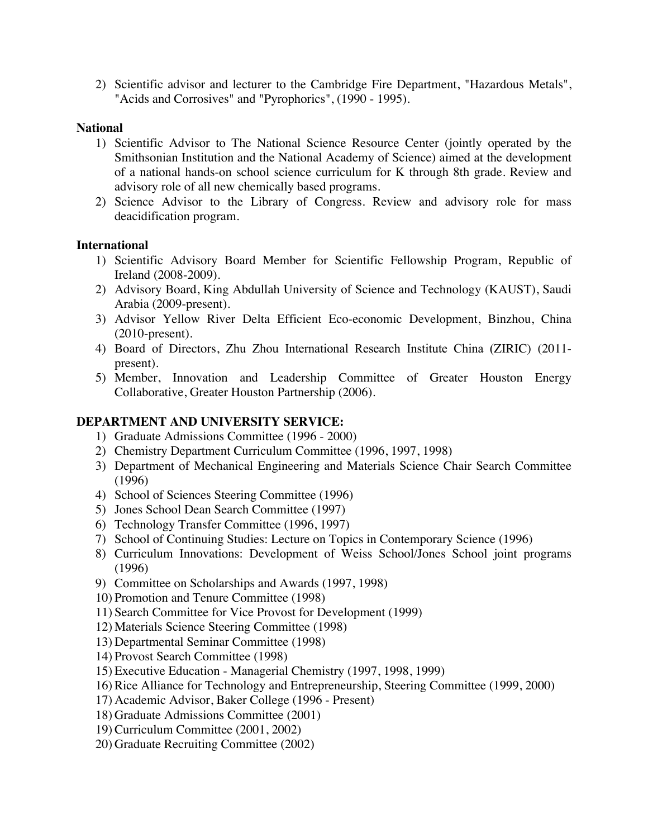2) Scientific advisor and lecturer to the Cambridge Fire Department, "Hazardous Metals", "Acids and Corrosives" and "Pyrophorics", (1990 - 1995).

### **National**

- 1) Scientific Advisor to The National Science Resource Center (jointly operated by the Smithsonian Institution and the National Academy of Science) aimed at the development of a national hands-on school science curriculum for K through 8th grade. Review and advisory role of all new chemically based programs.
- 2) Science Advisor to the Library of Congress. Review and advisory role for mass deacidification program.

### **International**

- 1) Scientific Advisory Board Member for Scientific Fellowship Program, Republic of Ireland (2008-2009).
- 2) Advisory Board, King Abdullah University of Science and Technology (KAUST), Saudi Arabia (2009-present).
- 3) Advisor Yellow River Delta Efficient Eco-economic Development, Binzhou, China (2010-present).
- 4) Board of Directors, Zhu Zhou International Research Institute China (ZIRIC) (2011 present).
- 5) Member, Innovation and Leadership Committee of Greater Houston Energy Collaborative, Greater Houston Partnership (2006).

# **DEPARTMENT AND UNIVERSITY SERVICE:**

- 1) Graduate Admissions Committee (1996 2000)
- 2) Chemistry Department Curriculum Committee (1996, 1997, 1998)
- 3) Department of Mechanical Engineering and Materials Science Chair Search Committee (1996)
- 4) School of Sciences Steering Committee (1996)
- 5) Jones School Dean Search Committee (1997)
- 6) Technology Transfer Committee (1996, 1997)
- 7) School of Continuing Studies: Lecture on Topics in Contemporary Science (1996)
- 8) Curriculum Innovations: Development of Weiss School/Jones School joint programs (1996)
- 9) Committee on Scholarships and Awards (1997, 1998)
- 10) Promotion and Tenure Committee (1998)
- 11) Search Committee for Vice Provost for Development (1999)
- 12) Materials Science Steering Committee (1998)
- 13) Departmental Seminar Committee (1998)
- 14) Provost Search Committee (1998)
- 15) Executive Education Managerial Chemistry (1997, 1998, 1999)
- 16) Rice Alliance for Technology and Entrepreneurship, Steering Committee (1999, 2000)
- 17) Academic Advisor, Baker College (1996 Present)
- 18) Graduate Admissions Committee (2001)
- 19) Curriculum Committee (2001, 2002)
- 20) Graduate Recruiting Committee (2002)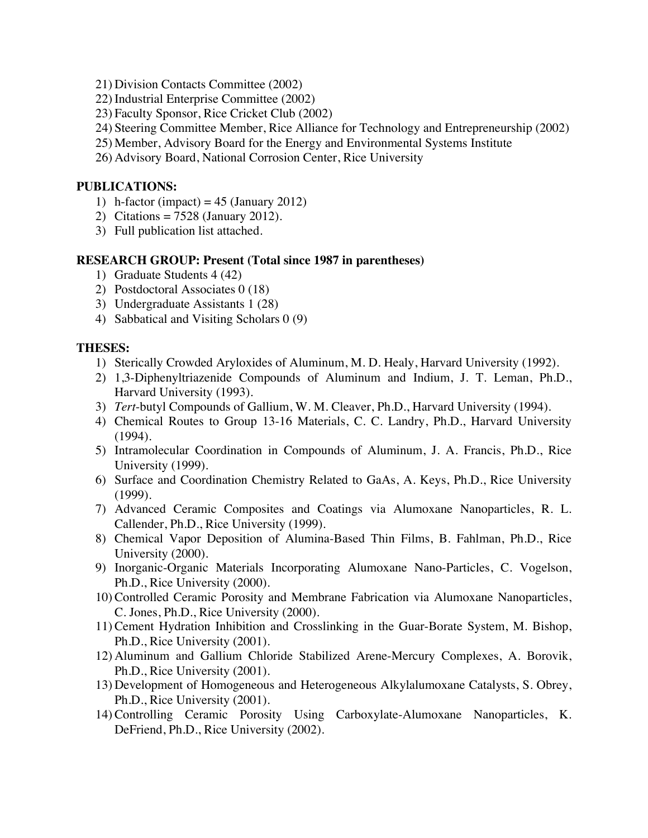- 21) Division Contacts Committee (2002)
- 22) Industrial Enterprise Committee (2002)
- 23) Faculty Sponsor, Rice Cricket Club (2002)
- 24) Steering Committee Member, Rice Alliance for Technology and Entrepreneurship (2002)
- 25) Member, Advisory Board for the Energy and Environmental Systems Institute
- 26) Advisory Board, National Corrosion Center, Rice University

### **PUBLICATIONS:**

- 1) h-factor (impact) =  $45$  (January 2012)
- 2) Citations = 7528 (January 2012).
- 3) Full publication list attached.

### **RESEARCH GROUP: Present (Total since 1987 in parentheses)**

- 1) Graduate Students 4 (42)
- 2) Postdoctoral Associates 0 (18)
- 3) Undergraduate Assistants 1 (28)
- 4) Sabbatical and Visiting Scholars 0 (9)

### **THESES:**

- 1) Sterically Crowded Aryloxides of Aluminum, M. D. Healy, Harvard University (1992).
- 2) 1,3-Diphenyltriazenide Compounds of Aluminum and Indium, J. T. Leman, Ph.D., Harvard University (1993).
- 3) *Tert*-butyl Compounds of Gallium, W. M. Cleaver, Ph.D., Harvard University (1994).
- 4) Chemical Routes to Group 13-16 Materials, C. C. Landry, Ph.D., Harvard University (1994).
- 5) Intramolecular Coordination in Compounds of Aluminum, J. A. Francis, Ph.D., Rice University (1999).
- 6) Surface and Coordination Chemistry Related to GaAs, A. Keys, Ph.D., Rice University (1999).
- 7) Advanced Ceramic Composites and Coatings via Alumoxane Nanoparticles, R. L. Callender, Ph.D., Rice University (1999).
- 8) Chemical Vapor Deposition of Alumina-Based Thin Films, B. Fahlman, Ph.D., Rice University (2000).
- 9) Inorganic-Organic Materials Incorporating Alumoxane Nano-Particles, C. Vogelson, Ph.D., Rice University (2000).
- 10) Controlled Ceramic Porosity and Membrane Fabrication via Alumoxane Nanoparticles, C. Jones, Ph.D., Rice University (2000).
- 11) Cement Hydration Inhibition and Crosslinking in the Guar-Borate System, M. Bishop, Ph.D., Rice University (2001).
- 12) Aluminum and Gallium Chloride Stabilized Arene-Mercury Complexes, A. Borovik, Ph.D., Rice University (2001).
- 13) Development of Homogeneous and Heterogeneous Alkylalumoxane Catalysts, S. Obrey, Ph.D., Rice University (2001).
- 14) Controlling Ceramic Porosity Using Carboxylate-Alumoxane Nanoparticles, K. DeFriend, Ph.D., Rice University (2002).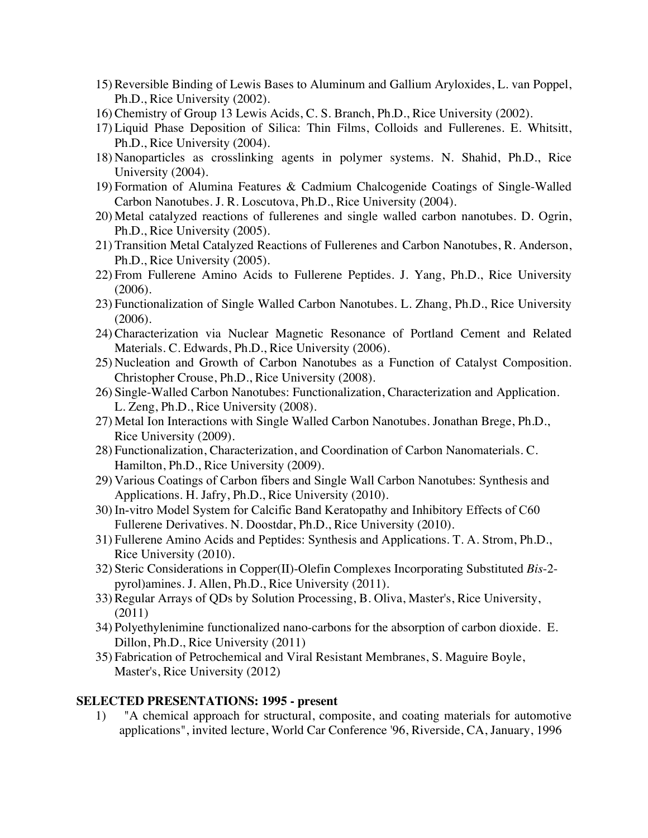- 15) Reversible Binding of Lewis Bases to Aluminum and Gallium Aryloxides, L. van Poppel, Ph.D., Rice University (2002).
- 16) Chemistry of Group 13 Lewis Acids, C. S. Branch, Ph.D., Rice University (2002).
- 17) Liquid Phase Deposition of Silica: Thin Films, Colloids and Fullerenes. E. Whitsitt, Ph.D., Rice University (2004).
- 18) Nanoparticles as crosslinking agents in polymer systems. N. Shahid, Ph.D., Rice University (2004).
- 19) Formation of Alumina Features & Cadmium Chalcogenide Coatings of Single-Walled Carbon Nanotubes. J. R. Loscutova, Ph.D., Rice University (2004).
- 20) Metal catalyzed reactions of fullerenes and single walled carbon nanotubes. D. Ogrin, Ph.D., Rice University (2005).
- 21) Transition Metal Catalyzed Reactions of Fullerenes and Carbon Nanotubes, R. Anderson, Ph.D., Rice University (2005).
- 22) From Fullerene Amino Acids to Fullerene Peptides. J. Yang, Ph.D., Rice University (2006).
- 23) Functionalization of Single Walled Carbon Nanotubes. L. Zhang, Ph.D., Rice University (2006).
- 24) Characterization via Nuclear Magnetic Resonance of Portland Cement and Related Materials. C. Edwards, Ph.D., Rice University (2006).
- 25) Nucleation and Growth of Carbon Nanotubes as a Function of Catalyst Composition. Christopher Crouse, Ph.D., Rice University (2008).
- 26) Single-Walled Carbon Nanotubes: Functionalization, Characterization and Application. L. Zeng, Ph.D., Rice University (2008).
- 27) Metal Ion Interactions with Single Walled Carbon Nanotubes. Jonathan Brege, Ph.D., Rice University (2009).
- 28) Functionalization, Characterization, and Coordination of Carbon Nanomaterials. C. Hamilton, Ph.D., Rice University (2009).
- 29) Various Coatings of Carbon fibers and Single Wall Carbon Nanotubes: Synthesis and Applications. H. Jafry, Ph.D., Rice University (2010).
- 30) In-vitro Model System for Calcific Band Keratopathy and Inhibitory Effects of C60 Fullerene Derivatives. N. Doostdar, Ph.D., Rice University (2010).
- 31) Fullerene Amino Acids and Peptides: Synthesis and Applications. T. A. Strom, Ph.D., Rice University (2010).
- 32) Steric Considerations in Copper(II)-Olefin Complexes Incorporating Substituted *Bis*-2 pyrol)amines. J. Allen, Ph.D., Rice University (2011).
- 33) Regular Arrays of QDs by Solution Processing, B. Oliva, Master's, Rice University, (2011)
- 34) Polyethylenimine functionalized nano-carbons for the absorption of carbon dioxide. E. Dillon, Ph.D., Rice University (2011)
- 35) Fabrication of Petrochemical and Viral Resistant Membranes, S. Maguire Boyle, Master's, Rice University (2012)

### **SELECTED PRESENTATIONS: 1995 - present**

1) "A chemical approach for structural, composite, and coating materials for automotive applications", invited lecture, World Car Conference '96, Riverside, CA, January, 1996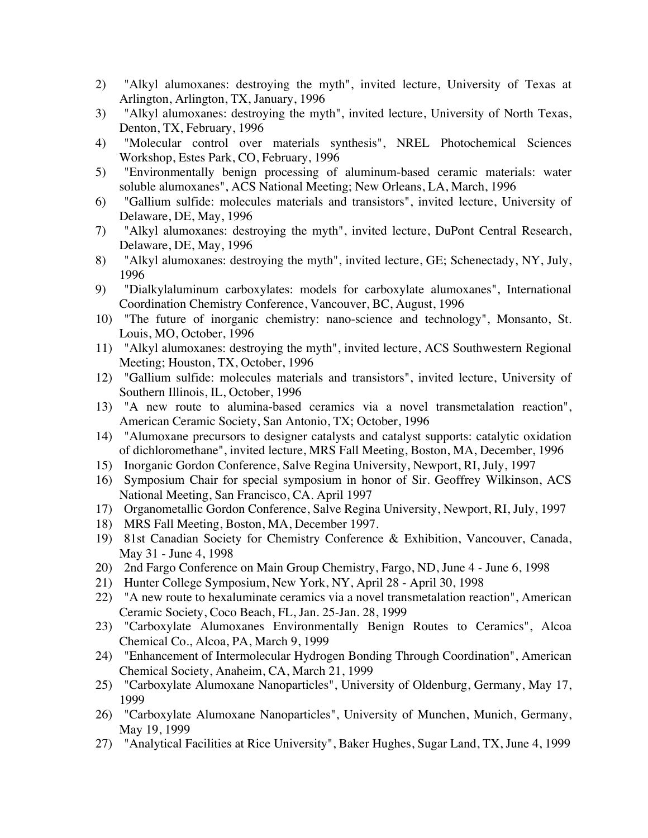- 2) "Alkyl alumoxanes: destroying the myth", invited lecture, University of Texas at Arlington, Arlington, TX, January, 1996
- 3) "Alkyl alumoxanes: destroying the myth", invited lecture, University of North Texas, Denton, TX, February, 1996
- 4) "Molecular control over materials synthesis", NREL Photochemical Sciences Workshop, Estes Park, CO, February, 1996
- 5) "Environmentally benign processing of aluminum-based ceramic materials: water soluble alumoxanes", ACS National Meeting; New Orleans, LA, March, 1996
- 6) "Gallium sulfide: molecules materials and transistors", invited lecture, University of Delaware, DE, May, 1996
- 7) "Alkyl alumoxanes: destroying the myth", invited lecture, DuPont Central Research, Delaware, DE, May, 1996
- 8) "Alkyl alumoxanes: destroying the myth", invited lecture, GE; Schenectady, NY, July, 1996
- 9) "Dialkylaluminum carboxylates: models for carboxylate alumoxanes", International Coordination Chemistry Conference, Vancouver, BC, August, 1996
- 10) "The future of inorganic chemistry: nano-science and technology", Monsanto, St. Louis, MO, October, 1996
- 11) "Alkyl alumoxanes: destroying the myth", invited lecture, ACS Southwestern Regional Meeting; Houston, TX, October, 1996
- 12) "Gallium sulfide: molecules materials and transistors", invited lecture, University of Southern Illinois, IL, October, 1996
- 13) "A new route to alumina-based ceramics via a novel transmetalation reaction", American Ceramic Society, San Antonio, TX; October, 1996
- 14) "Alumoxane precursors to designer catalysts and catalyst supports: catalytic oxidation of dichloromethane", invited lecture, MRS Fall Meeting, Boston, MA, December, 1996
- 15) Inorganic Gordon Conference, Salve Regina University, Newport, RI, July, 1997
- 16) Symposium Chair for special symposium in honor of Sir. Geoffrey Wilkinson, ACS National Meeting, San Francisco, CA. April 1997
- 17) Organometallic Gordon Conference, Salve Regina University, Newport, RI, July, 1997
- 18) MRS Fall Meeting, Boston, MA, December 1997.
- 19) 81st Canadian Society for Chemistry Conference & Exhibition, Vancouver, Canada, May 31 - June 4, 1998
- 20) 2nd Fargo Conference on Main Group Chemistry, Fargo, ND, June 4 June 6, 1998
- 21) Hunter College Symposium, New York, NY, April 28 April 30, 1998
- 22) "A new route to hexaluminate ceramics via a novel transmetalation reaction", American Ceramic Society, Coco Beach, FL, Jan. 25-Jan. 28, 1999
- 23) "Carboxylate Alumoxanes Environmentally Benign Routes to Ceramics", Alcoa Chemical Co., Alcoa, PA, March 9, 1999
- 24) "Enhancement of Intermolecular Hydrogen Bonding Through Coordination", American Chemical Society, Anaheim, CA, March 21, 1999
- 25) "Carboxylate Alumoxane Nanoparticles", University of Oldenburg, Germany, May 17, 1999
- 26) "Carboxylate Alumoxane Nanoparticles", University of Munchen, Munich, Germany, May 19, 1999
- 27) "Analytical Facilities at Rice University", Baker Hughes, Sugar Land, TX, June 4, 1999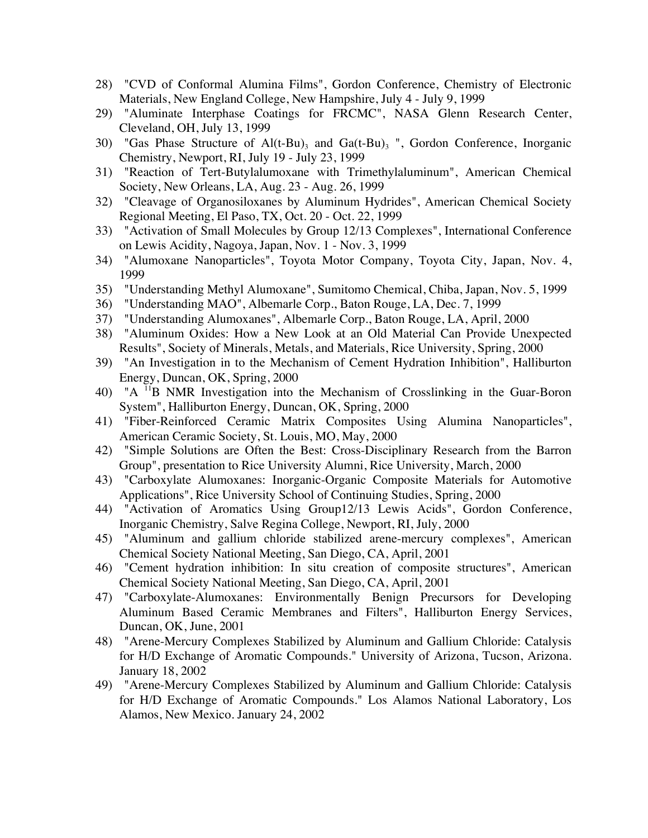- 28) "CVD of Conformal Alumina Films", Gordon Conference, Chemistry of Electronic Materials, New England College, New Hampshire, July 4 - July 9, 1999
- 29) "Aluminate Interphase Coatings for FRCMC", NASA Glenn Research Center, Cleveland, OH, July 13, 1999
- 30) "Gas Phase Structure of  $Al(t-Bu)$ <sub>3</sub> and Ga(t-Bu)<sub>3</sub> ", Gordon Conference, Inorganic Chemistry, Newport, RI, July 19 - July 23, 1999
- 31) "Reaction of Tert-Butylalumoxane with Trimethylaluminum", American Chemical Society, New Orleans, LA, Aug. 23 - Aug. 26, 1999
- 32) "Cleavage of Organosiloxanes by Aluminum Hydrides", American Chemical Society Regional Meeting, El Paso, TX, Oct. 20 - Oct. 22, 1999
- 33) "Activation of Small Molecules by Group 12/13 Complexes", International Conference on Lewis Acidity, Nagoya, Japan, Nov. 1 - Nov. 3, 1999
- 34) "Alumoxane Nanoparticles", Toyota Motor Company, Toyota City, Japan, Nov. 4, 1999
- 35) "Understanding Methyl Alumoxane", Sumitomo Chemical, Chiba, Japan, Nov. 5, 1999
- 36) "Understanding MAO", Albemarle Corp., Baton Rouge, LA, Dec. 7, 1999
- 37) "Understanding Alumoxanes", Albemarle Corp., Baton Rouge, LA, April, 2000
- 38) "Aluminum Oxides: How a New Look at an Old Material Can Provide Unexpected Results", Society of Minerals, Metals, and Materials, Rice University, Spring, 2000
- 39) "An Investigation in to the Mechanism of Cement Hydration Inhibition", Halliburton Energy, Duncan, OK, Spring, 2000
- 40) "A 11B NMR Investigation into the Mechanism of Crosslinking in the Guar-Boron System", Halliburton Energy, Duncan, OK, Spring, 2000
- 41) "Fiber-Reinforced Ceramic Matrix Composites Using Alumina Nanoparticles", American Ceramic Society, St. Louis, MO, May, 2000
- 42) "Simple Solutions are Often the Best: Cross-Disciplinary Research from the Barron Group", presentation to Rice University Alumni, Rice University, March, 2000
- 43) "Carboxylate Alumoxanes: Inorganic-Organic Composite Materials for Automotive Applications", Rice University School of Continuing Studies, Spring, 2000
- 44) "Activation of Aromatics Using Group12/13 Lewis Acids", Gordon Conference, Inorganic Chemistry, Salve Regina College, Newport, RI, July, 2000
- 45) "Aluminum and gallium chloride stabilized arene-mercury complexes", American Chemical Society National Meeting, San Diego, CA, April, 2001
- 46) "Cement hydration inhibition: In situ creation of composite structures", American Chemical Society National Meeting, San Diego, CA, April, 2001
- 47) "Carboxylate-Alumoxanes: Environmentally Benign Precursors for Developing Aluminum Based Ceramic Membranes and Filters", Halliburton Energy Services, Duncan, OK, June, 2001
- 48) "Arene-Mercury Complexes Stabilized by Aluminum and Gallium Chloride: Catalysis for H/D Exchange of Aromatic Compounds." University of Arizona, Tucson, Arizona. January 18, 2002
- 49) "Arene-Mercury Complexes Stabilized by Aluminum and Gallium Chloride: Catalysis for H/D Exchange of Aromatic Compounds." Los Alamos National Laboratory, Los Alamos, New Mexico. January 24, 2002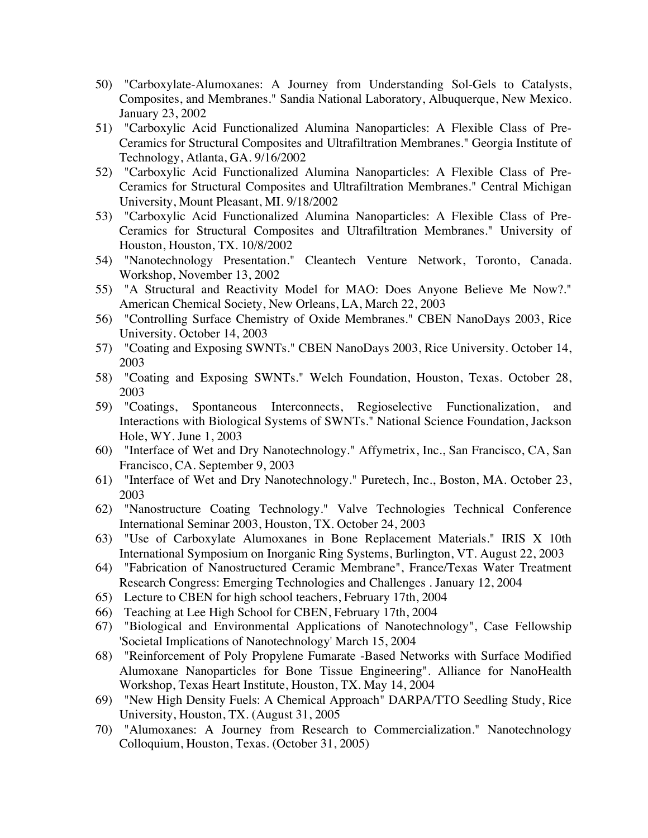- 50) "Carboxylate-Alumoxanes: A Journey from Understanding Sol-Gels to Catalysts, Composites, and Membranes." Sandia National Laboratory, Albuquerque, New Mexico. January 23, 2002
- 51) "Carboxylic Acid Functionalized Alumina Nanoparticles: A Flexible Class of Pre-Ceramics for Structural Composites and Ultrafiltration Membranes." Georgia Institute of Technology, Atlanta, GA. 9/16/2002
- 52) "Carboxylic Acid Functionalized Alumina Nanoparticles: A Flexible Class of Pre-Ceramics for Structural Composites and Ultrafiltration Membranes." Central Michigan University, Mount Pleasant, MI. 9/18/2002
- 53) "Carboxylic Acid Functionalized Alumina Nanoparticles: A Flexible Class of Pre-Ceramics for Structural Composites and Ultrafiltration Membranes." University of Houston, Houston, TX. 10/8/2002
- 54) "Nanotechnology Presentation." Cleantech Venture Network, Toronto, Canada. Workshop, November 13, 2002
- 55) "A Structural and Reactivity Model for MAO: Does Anyone Believe Me Now?." American Chemical Society, New Orleans, LA, March 22, 2003
- 56) "Controlling Surface Chemistry of Oxide Membranes." CBEN NanoDays 2003, Rice University. October 14, 2003
- 57) "Coating and Exposing SWNTs." CBEN NanoDays 2003, Rice University. October 14, 2003
- 58) "Coating and Exposing SWNTs." Welch Foundation, Houston, Texas. October 28, 2003
- 59) "Coatings, Spontaneous Interconnects, Regioselective Functionalization, and Interactions with Biological Systems of SWNTs." National Science Foundation, Jackson Hole, WY. June 1, 2003
- 60) "Interface of Wet and Dry Nanotechnology." Affymetrix, Inc., San Francisco, CA, San Francisco, CA. September 9, 2003
- 61) "Interface of Wet and Dry Nanotechnology." Puretech, Inc., Boston, MA. October 23, 2003
- 62) "Nanostructure Coating Technology." Valve Technologies Technical Conference International Seminar 2003, Houston, TX. October 24, 2003
- 63) "Use of Carboxylate Alumoxanes in Bone Replacement Materials." IRIS X 10th International Symposium on Inorganic Ring Systems, Burlington, VT. August 22, 2003
- 64) "Fabrication of Nanostructured Ceramic Membrane", France/Texas Water Treatment Research Congress: Emerging Technologies and Challenges . January 12, 2004
- 65) Lecture to CBEN for high school teachers, February 17th, 2004
- 66) Teaching at Lee High School for CBEN, February 17th, 2004
- 67) "Biological and Environmental Applications of Nanotechnology", Case Fellowship 'Societal Implications of Nanotechnology' March 15, 2004
- 68) "Reinforcement of Poly Propylene Fumarate -Based Networks with Surface Modified Alumoxane Nanoparticles for Bone Tissue Engineering". Alliance for NanoHealth Workshop, Texas Heart Institute, Houston, TX. May 14, 2004
- 69) "New High Density Fuels: A Chemical Approach" DARPA/TTO Seedling Study, Rice University, Houston, TX. (August 31, 2005
- 70) "Alumoxanes: A Journey from Research to Commercialization." Nanotechnology Colloquium, Houston, Texas. (October 31, 2005)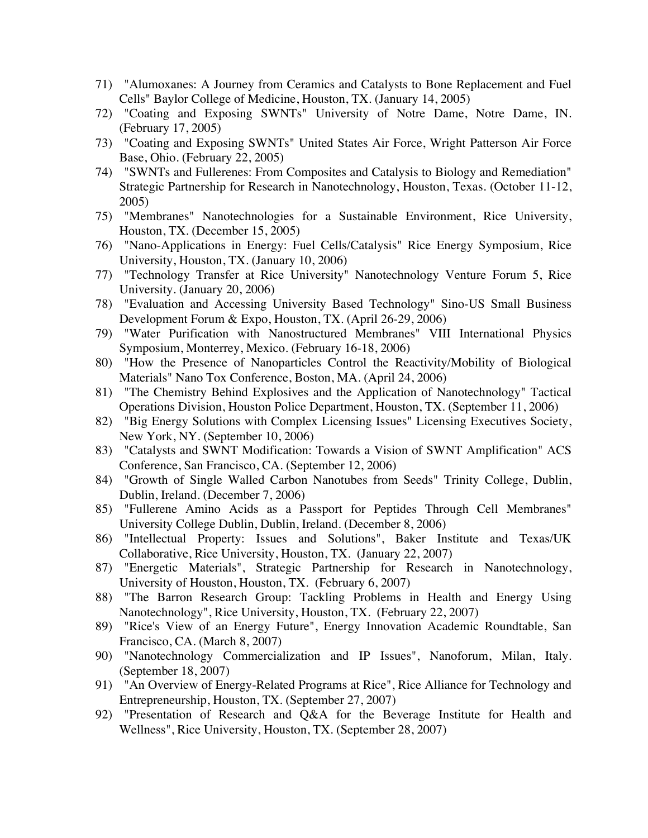- 71) "Alumoxanes: A Journey from Ceramics and Catalysts to Bone Replacement and Fuel Cells" Baylor College of Medicine, Houston, TX. (January 14, 2005)
- 72) "Coating and Exposing SWNTs" University of Notre Dame, Notre Dame, IN. (February 17, 2005)
- 73) "Coating and Exposing SWNTs" United States Air Force, Wright Patterson Air Force Base, Ohio. (February 22, 2005)
- 74) "SWNTs and Fullerenes: From Composites and Catalysis to Biology and Remediation" Strategic Partnership for Research in Nanotechnology, Houston, Texas. (October 11-12, 2005)
- 75) "Membranes" Nanotechnologies for a Sustainable Environment, Rice University, Houston, TX. (December 15, 2005)
- 76) "Nano-Applications in Energy: Fuel Cells/Catalysis" Rice Energy Symposium, Rice University, Houston, TX. (January 10, 2006)
- 77) "Technology Transfer at Rice University" Nanotechnology Venture Forum 5, Rice University. (January 20, 2006)
- 78) "Evaluation and Accessing University Based Technology" Sino-US Small Business Development Forum & Expo, Houston, TX. (April 26-29, 2006)
- 79) "Water Purification with Nanostructured Membranes" VIII International Physics Symposium, Monterrey, Mexico. (February 16-18, 2006)
- 80) "How the Presence of Nanoparticles Control the Reactivity/Mobility of Biological Materials" Nano Tox Conference, Boston, MA. (April 24, 2006)
- 81) "The Chemistry Behind Explosives and the Application of Nanotechnology" Tactical Operations Division, Houston Police Department, Houston, TX. (September 11, 2006)
- 82) "Big Energy Solutions with Complex Licensing Issues" Licensing Executives Society, New York, NY. (September 10, 2006)
- 83) "Catalysts and SWNT Modification: Towards a Vision of SWNT Amplification" ACS Conference, San Francisco, CA. (September 12, 2006)
- 84) "Growth of Single Walled Carbon Nanotubes from Seeds" Trinity College, Dublin, Dublin, Ireland. (December 7, 2006)
- 85) "Fullerene Amino Acids as a Passport for Peptides Through Cell Membranes" University College Dublin, Dublin, Ireland. (December 8, 2006)
- 86) "Intellectual Property: Issues and Solutions", Baker Institute and Texas/UK Collaborative, Rice University, Houston, TX. (January 22, 2007)
- 87) "Energetic Materials", Strategic Partnership for Research in Nanotechnology, University of Houston, Houston, TX. (February 6, 2007)
- 88) "The Barron Research Group: Tackling Problems in Health and Energy Using Nanotechnology", Rice University, Houston, TX. (February 22, 2007)
- 89) "Rice's View of an Energy Future", Energy Innovation Academic Roundtable, San Francisco, CA. (March 8, 2007)
- 90) "Nanotechnology Commercialization and IP Issues", Nanoforum, Milan, Italy. (September 18, 2007)
- 91) "An Overview of Energy-Related Programs at Rice", Rice Alliance for Technology and Entrepreneurship, Houston, TX. (September 27, 2007)
- 92) "Presentation of Research and Q&A for the Beverage Institute for Health and Wellness", Rice University, Houston, TX. (September 28, 2007)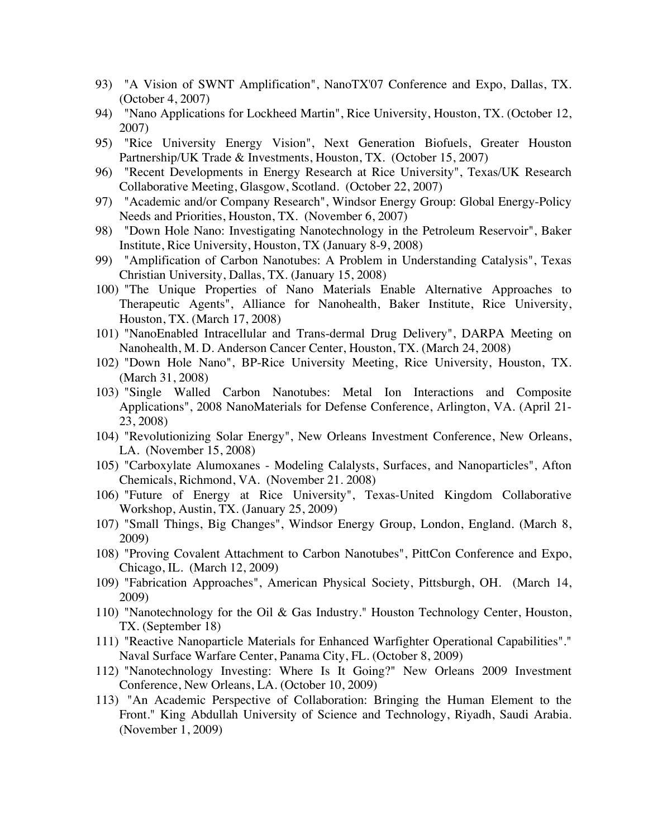- 93) "A Vision of SWNT Amplification", NanoTX'07 Conference and Expo, Dallas, TX. (October 4, 2007)
- 94) "Nano Applications for Lockheed Martin", Rice University, Houston, TX. (October 12, 2007)
- 95) "Rice University Energy Vision", Next Generation Biofuels, Greater Houston Partnership/UK Trade & Investments, Houston, TX. (October 15, 2007)
- 96) "Recent Developments in Energy Research at Rice University", Texas/UK Research Collaborative Meeting, Glasgow, Scotland. (October 22, 2007)
- 97) "Academic and/or Company Research", Windsor Energy Group: Global Energy-Policy Needs and Priorities, Houston, TX. (November 6, 2007)
- 98) "Down Hole Nano: Investigating Nanotechnology in the Petroleum Reservoir", Baker Institute, Rice University, Houston, TX (January 8-9, 2008)
- 99) "Amplification of Carbon Nanotubes: A Problem in Understanding Catalysis", Texas Christian University, Dallas, TX. (January 15, 2008)
- 100) "The Unique Properties of Nano Materials Enable Alternative Approaches to Therapeutic Agents", Alliance for Nanohealth, Baker Institute, Rice University, Houston, TX. (March 17, 2008)
- 101) "NanoEnabled Intracellular and Trans-dermal Drug Delivery", DARPA Meeting on Nanohealth, M. D. Anderson Cancer Center, Houston, TX. (March 24, 2008)
- 102) "Down Hole Nano", BP-Rice University Meeting, Rice University, Houston, TX. (March 31, 2008)
- 103) "Single Walled Carbon Nanotubes: Metal Ion Interactions and Composite Applications", 2008 NanoMaterials for Defense Conference, Arlington, VA. (April 21- 23, 2008)
- 104) "Revolutionizing Solar Energy", New Orleans Investment Conference, New Orleans, LA. (November 15, 2008)
- 105) "Carboxylate Alumoxanes Modeling Calalysts, Surfaces, and Nanoparticles", Afton Chemicals, Richmond, VA. (November 21. 2008)
- 106) "Future of Energy at Rice University", Texas-United Kingdom Collaborative Workshop, Austin, TX. (January 25, 2009)
- 107) "Small Things, Big Changes", Windsor Energy Group, London, England. (March 8, 2009)
- 108) "Proving Covalent Attachment to Carbon Nanotubes", PittCon Conference and Expo, Chicago, IL. (March 12, 2009)
- 109) "Fabrication Approaches", American Physical Society, Pittsburgh, OH. (March 14, 2009)
- 110) "Nanotechnology for the Oil & Gas Industry." Houston Technology Center, Houston, TX. (September 18)
- 111) "Reactive Nanoparticle Materials for Enhanced Warfighter Operational Capabilities"." Naval Surface Warfare Center, Panama City, FL. (October 8, 2009)
- 112) "Nanotechnology Investing: Where Is It Going?" New Orleans 2009 Investment Conference, New Orleans, LA. (October 10, 2009)
- 113) "An Academic Perspective of Collaboration: Bringing the Human Element to the Front." King Abdullah University of Science and Technology, Riyadh, Saudi Arabia. (November 1, 2009)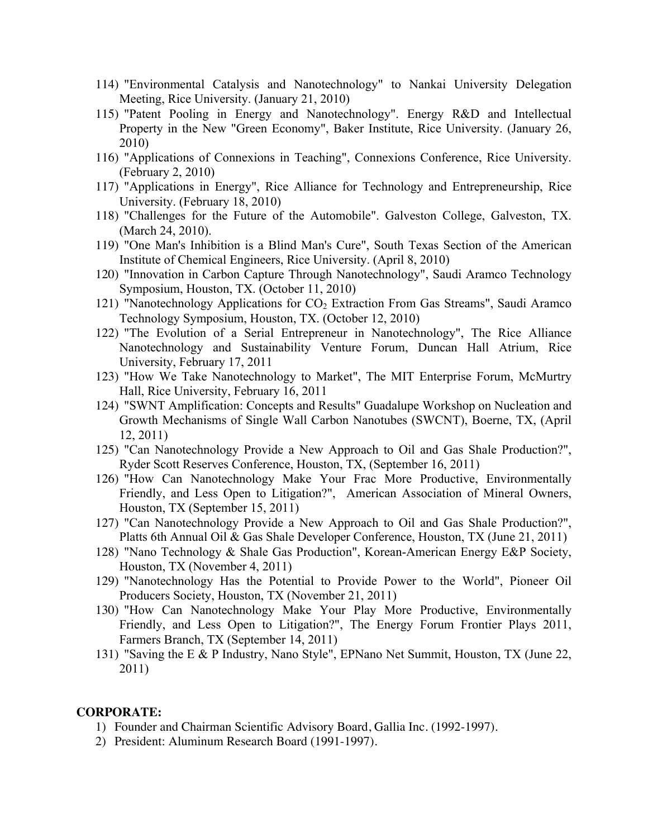- 114) "Environmental Catalysis and Nanotechnology" to Nankai University Delegation Meeting, Rice University. (January 21, 2010)
- 115) "Patent Pooling in Energy and Nanotechnology". Energy R&D and Intellectual Property in the New "Green Economy", Baker Institute, Rice University. (January 26, 2010)
- 116) "Applications of Connexions in Teaching", Connexions Conference, Rice University. (February 2, 2010)
- 117) "Applications in Energy", Rice Alliance for Technology and Entrepreneurship, Rice University. (February 18, 2010)
- 118) "Challenges for the Future of the Automobile". Galveston College, Galveston, TX. (March 24, 2010).
- 119) "One Man's Inhibition is a Blind Man's Cure", South Texas Section of the American Institute of Chemical Engineers, Rice University. (April 8, 2010)
- 120) "Innovation in Carbon Capture Through Nanotechnology", Saudi Aramco Technology Symposium, Houston, TX. (October 11, 2010)
- 121) "Nanotechnology Applications for  $CO<sub>2</sub>$  Extraction From Gas Streams", Saudi Aramco Technology Symposium, Houston, TX. (October 12, 2010)
- 122) "The Evolution of a Serial Entrepreneur in Nanotechnology", The Rice Alliance Nanotechnology and Sustainability Venture Forum, Duncan Hall Atrium, Rice University, February 17, 2011
- 123) "How We Take Nanotechnology to Market", The MIT Enterprise Forum, McMurtry Hall, Rice University, February 16, 2011
- 124) "SWNT Amplification: Concepts and Results" Guadalupe Workshop on Nucleation and Growth Mechanisms of Single Wall Carbon Nanotubes (SWCNT), Boerne, TX, (April 12, 2011)
- 125) "Can Nanotechnology Provide a New Approach to Oil and Gas Shale Production?", Ryder Scott Reserves Conference, Houston, TX, (September 16, 2011)
- 126) "How Can Nanotechnology Make Your Frac More Productive, Environmentally Friendly, and Less Open to Litigation?", American Association of Mineral Owners, Houston, TX (September 15, 2011)
- 127) "Can Nanotechnology Provide a New Approach to Oil and Gas Shale Production?", Platts 6th Annual Oil & Gas Shale Developer Conference, Houston, TX (June 21, 2011)
- 128) "Nano Technology & Shale Gas Production", Korean-American Energy E&P Society, Houston, TX (November 4, 2011)
- 129) "Nanotechnology Has the Potential to Provide Power to the World", Pioneer Oil Producers Society, Houston, TX (November 21, 2011)
- 130) "How Can Nanotechnology Make Your Play More Productive, Environmentally Friendly, and Less Open to Litigation?", The Energy Forum Frontier Plays 2011, Farmers Branch, TX (September 14, 2011)
- 131) "Saving the E & P Industry, Nano Style", EPNano Net Summit, Houston, TX (June 22, 2011)

#### **CORPORATE:**

- 1) Founder and Chairman Scientific Advisory Board, Gallia Inc. (1992-1997).
- 2) President: Aluminum Research Board (1991-1997).